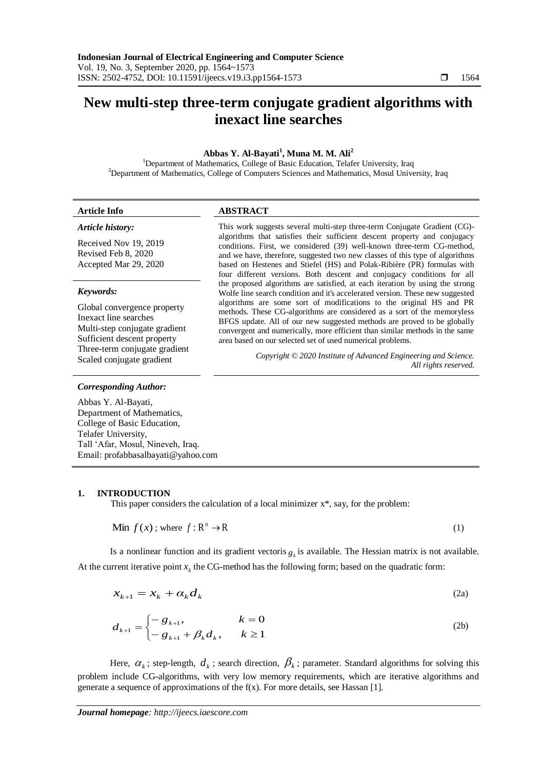# **New multi-step three-term conjugate gradient algorithms with inexact line searches**

# **Abbas Y. Al-Bayati<sup>1</sup> , Muna M. M. Ali<sup>2</sup>**

<sup>1</sup>Department of Mathematics, College of Basic Education, Telafer University, Iraq <sup>2</sup>Department of Mathematics, College of Computers Sciences and Mathematics, Mosul University, Iraq

| <b>Article Info</b>                                                   | <b>ABSTRACT</b>                                                                                                                                                                                                                                                                                                                                                                                                                                                                                                                                                                                                                                                                                                                                                                          |
|-----------------------------------------------------------------------|------------------------------------------------------------------------------------------------------------------------------------------------------------------------------------------------------------------------------------------------------------------------------------------------------------------------------------------------------------------------------------------------------------------------------------------------------------------------------------------------------------------------------------------------------------------------------------------------------------------------------------------------------------------------------------------------------------------------------------------------------------------------------------------|
| Article history:                                                      | This work suggests several multi-step three-term Conjugate Gradient (CG)-<br>algorithms that satisfies their sufficient descent property and conjugacy<br>conditions. First, we considered (39) well-known three-term CG-method,<br>and we have, therefore, suggested two new classes of this type of algorithms<br>based on Hestenes and Stiefel (HS) and Polak-Ribière (PR) formulas with<br>four different versions. Both descent and conjugacy conditions for all<br>the proposed algorithms are satisfied, at each iteration by using the strong<br>Wolfe line search condition and it's accelerated version. These new suggested<br>algorithms are some sort of modifications to the original HS and PR<br>methods. These CG-algorithms are considered as a sort of the memoryless |
| Received Nov 19, 2019<br>Revised Feb 8, 2020<br>Accepted Mar 29, 2020 |                                                                                                                                                                                                                                                                                                                                                                                                                                                                                                                                                                                                                                                                                                                                                                                          |
| Keywords:                                                             |                                                                                                                                                                                                                                                                                                                                                                                                                                                                                                                                                                                                                                                                                                                                                                                          |
| Global convergence property<br>$\mathbf{r}$ . The set of $\mathbf{r}$ |                                                                                                                                                                                                                                                                                                                                                                                                                                                                                                                                                                                                                                                                                                                                                                                          |

BFGS update. All of our new suggested methods are proved to be globally convergent and numerically, more efficient than similar methods in the same

area based on our selected set of used numerical problems.

Inexact line searches Multi-step conjugate gradient Sufficient descent property Three-term conjugate gradient Scaled conjugate gradient *Copyright © 2020 Institute of Advanced Engineering and Science.* <br> *Copyright © 2020 Institute of Advanced Engineering and Science.* 

#### *Corresponding Author:*

Abbas Y. Al-Bayati, Department of Mathematics, College of Basic Education, Telafer University, Tall "Afar, Mosul, Nineveh, Iraq. Email: profabbasalbayati@yahoo.com

# **1. INTRODUCTION**

This paper considers the calculation of a local minimizer x\*, say, for the problem:

$$
\text{Min } f(x) \text{ ; where } f: \mathbb{R}^n \to \mathbb{R} \tag{1}
$$

Is a nonlinear function and its gradient vectoris  $g_k$  is available. The Hessian matrix is not available. At the current iterative point  $x<sub>k</sub>$  the CG-method has the following form; based on the quadratic form:

$$
x_{k+1} = x_k + \alpha_k d_k \tag{2a}
$$

$$
d_{k+1} = \begin{cases} -g_{k+1}, & k = 0\\ -g_{k+1} + \beta_k d_k, & k \ge 1 \end{cases}
$$
 (2b)

Here,  $\alpha_k$ ; step-length,  $d_k$ ; search direction,  $\beta_k$ ; parameter. Standard algorithms for solving this problem include CG-algorithms, with very low memory requirements, which are iterative algorithms and generate a sequence of approximations of the f(x). For more details, see Hassan [1].

*All rights reserved.*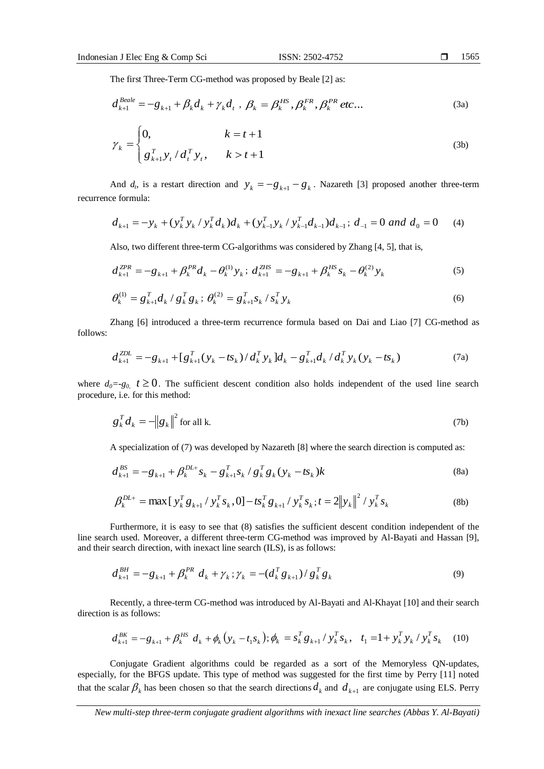The first Three-Term CG-method was proposed by Beale [2] as:

$$
d_{k+1}^{Beale} = -g_{k+1} + \beta_k d_k + \gamma_k d_t, \ \beta_k = \beta_k^{HS}, \beta_k^{FR}, \beta_k^{PR} \text{ etc...}
$$
 (3a)

$$
\gamma_k = \begin{cases} 0, & k = t + 1 \\ g_{k+1}^T y_t / d_t^T y_t, & k > t + 1 \end{cases}
$$
 (3b)

And  $d_i$ , is a restart direction and  $y_k = -g_{k+1} - g_k$ . Nazareth [3] proposed another three-term recurrence formula:

$$
d_{k+1} = -y_k + (y_k^T y_k / y_k^T d_k) d_k + (y_{k-1}^T y_k / y_{k-1}^T d_{k-1}) d_{k-1}; d_{-1} = 0 \text{ and } d_0 = 0 \quad (4)
$$

Also, two different three-term CG-algorithms was considered by Zhang [4, 5], that is,

$$
d_{k+1}^{ZPR} = -g_{k+1} + \beta_k^{PR} d_k - \theta_k^{(1)} y_k; d_{k+1}^{ZHS} = -g_{k+1} + \beta_k^{HS} s_k - \theta_k^{(2)} y_k
$$
(5)

$$
\theta_k^{(1)} = g_{k+1}^T d_k / g_k^T g_k; \ \theta_k^{(2)} = g_{k+1}^T s_k / s_k^T y_k \tag{6}
$$

Zhang [6] introduced a three-term recurrence formula based on Dai and Liao [7] CG-method as follows:

$$
d_{k+1}^{ZDL} = -g_{k+1} + [g_{k+1}^T(y_k - ts_k) / d_k^T y_k] d_k - g_{k+1}^T d_k / d_k^T y_k (y_k - ts_k)
$$
 (7a)

where  $d_0 = -g_0$ ,  $t \ge 0$ . The sufficient descent condition also holds independent of the used line search procedure, i.e. for this method:

$$
g_k^T d_k = -\|g_k\|^2 \text{ for all k.}
$$
 (7b)

A specialization of (7) was developed by Nazareth [8] where the search direction is computed as:

$$
d_{k+1}^{BS} = -g_{k+1} + \beta_k^{DL+} s_k - g_{k+1}^T s_k / g_k^T g_k (y_k - t s_k) k
$$
 (8a)

$$
\beta_k^{DL+} = \max \left[ y_k^T g_{k+1} / y_k^T s_k, 0 \right] - t s_k^T g_{k+1} / y_k^T s_k; t = 2 \| y_k \|^2 / y_k^T s_k \tag{8b}
$$

Furthermore, it is easy to see that (8) satisfies the sufficient descent condition independent of the line search used. Moreover, a different three-term CG-method was improved by Al-Bayati and Hassan [9], and their search direction, with inexact line search (ILS), is as follows:

$$
d_{k+1}^{BH} = -g_{k+1} + \beta_k^{PR} d_k + \gamma_k ; \gamma_k = -(d_k^T g_{k+1}) / g_k^T g_k
$$
\n(9)

Recently, a three-term CG-method was introduced by Al-Bayati and Al-Khayat [10] and their search direction is as follows:

$$
d_{k+1}^{BK} = -g_{k+1} + \beta_k^{HS} d_k + \phi_k (y_k - t_1 s_k); \phi_k = s_k^{T} g_{k+1} / y_k^{T} s_k, t_1 = 1 + y_k^{T} y_k / y_k^{T} s_k
$$
 (10)

Conjugate Gradient algorithms could be regarded as a sort of the Memoryless QN-updates, especially, for the BFGS update. This type of method was suggested for the first time by Perry [11] noted that the scalar  $\beta_k$  has been chosen so that the search directions  $d_k$  and  $d_{k+1}$  are conjugate using ELS. Perry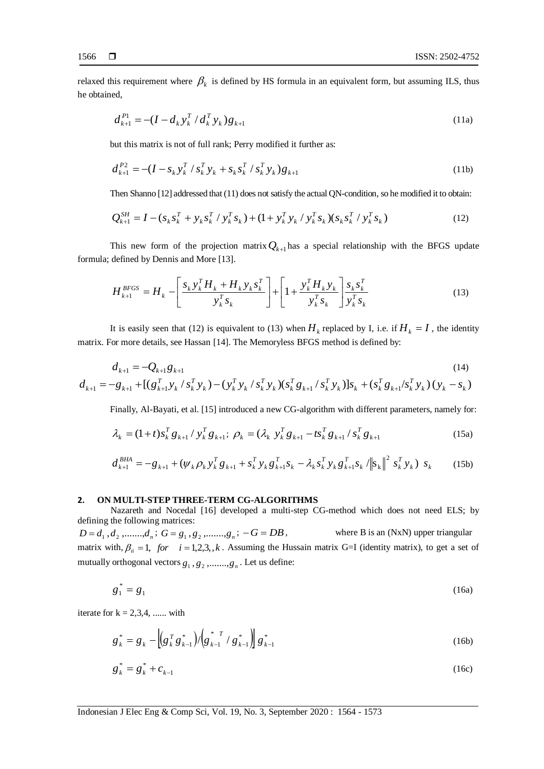relaxed this requirement where  $\beta_k$  is defined by HS formula in an equivalent form, but assuming ILS, thus he obtained,

$$
d_{k+1}^{P1} = -(I - d_k y_k^T / d_k^T y_k) g_{k+1}
$$
\n(11a)

but this matrix is not of full rank; Perry modified it further as:

$$
d_{k+1}^{P2} = -(I - s_k y_k^T / s_k^T y_k + s_k s_k^T / s_k^T y_k) g_{k+1}
$$
\n(11b)

Then Shanno [12] addressed that (11) does not satisfy the actual QN-condition, so he modified it to obtain:

$$
Q_{k+1}^{SH} = I - (s_k s_k^T + y_k s_k^T / y_k^T s_k) + (1 + y_k^T y_k / y_k^T s_k) (s_k s_k^T / y_k^T s_k)
$$
\n(12)

This new form of the projection matrix  $Q_{k+1}$  has a special relationship with the BFGS update formula; defined by Dennis and More [13].

$$
H_{k+1}^{BFGS} = H_k - \left[\frac{s_k y_k^T H_k + H_k y_k s_k^T}{y_k^T s_k}\right] + \left[1 + \frac{y_k^T H_k y_k}{y_k^T s_k}\right] \frac{s_k s_k^T}{y_k^T s_k}
$$
(13)

It is easily seen that (12) is equivalent to (13) when  $H_k$  replaced by I, i.e. if  $H_k = I$ , the identity matrix. For more details, see Hassan [14]. The Memoryless BFGS method is defined by:

$$
d_{k+1} = -Q_{k+1}g_{k+1}
$$
\n
$$
(14)
$$
\n
$$
d_{k+1} = -g_{k+1} + \left[ (g_{k+1}^T y_k / s_k^T y_k) - (y_k^T y_k / s_k^T y_k)(s_k^T g_{k+1} / s_k^T y_k) \right]s_k + (s_k^T g_{k+1} / s_k^T y_k) (y_k - s_k)
$$
\n
$$
(14)
$$

Finally, Al-Bayati, et al. [15] introduced a new CG-algorithm with different parameters, namely for:

$$
\lambda_{k} = (1+t)s_{k}^{T}g_{k+1} / y_{k}^{T}g_{k+1}; \ \rho_{k} = (\lambda_{k} y_{k}^{T}g_{k+1} - ts_{k}^{T}g_{k+1} / s_{k}^{T}g_{k+1})
$$
(15a)

$$
d_{k+1}^{BHA} = -g_{k+1} + (\psi_k \rho_k y_k^T g_{k+1} + s_k^T y_k g_{k+1}^T s_k - \lambda_k s_k^T y_k g_{k+1}^T s_k / \|s_k\|^2 s_k^T y_k) s_k
$$
 (15b)

#### **2. ON MULTI-STEP THREE-TERM CG-ALGORITHMS**

Nazareth and Nocedal [16] developed a multi-step CG-method which does not need ELS; by defining the following matrices:

 $D = d_1, d_2, \ldots, d_n; G = g_1, g_2, \ldots, g_n$ where B is an (NxN) upper triangular matrix with,  $\beta_{ii} = 1$ , for  $i = 1, 2, 3, 4$ . Assuming the Hussain matrix G=I (identity matrix), to get a set of mutually orthogonal vectors  $g_1, g_2, \ldots, g_n$ . Let us define:

$$
g_1^* = g_1 \tag{16a}
$$

iterate for  $k = 2,3,4, \dots$  with

$$
g_{k}^{*} = g_{k} - \left[ \left( g_{k}^{T} g_{k-1}^{*} \right) / \left( g_{k-1}^{*} / g_{k-1}^{*} \right) \right] g_{k-1}^{*}
$$
\n(16b)

$$
g_k^* = g_k^* + c_{k-1}
$$
 (16c)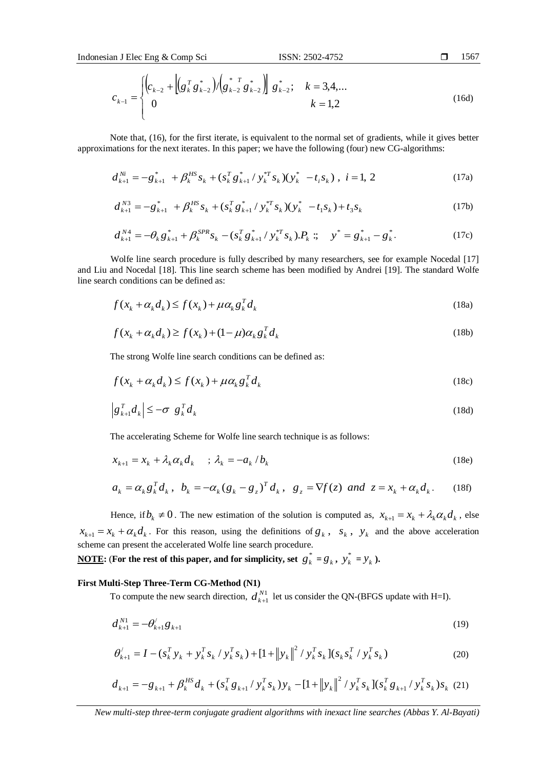$$
c_{k-1} = \begin{cases} \left(c_{k-2} + \left[g_k^T g_{k-2}^*\right) / \left(g_{k-2}^* g_{k-2}^*\right) \right] g_{k-2}^*; & k = 3, 4, \dots \\ 0 & k = 1, 2 \end{cases}
$$
 (16d)

Note that, (16), for the first iterate, is equivalent to the normal set of gradients, while it gives better approximations for the next iterates. In this paper; we have the following (four) new CG-algorithms:

$$
d_{k+1}^{Ni} = -g_{k+1}^* + \beta_k^{HS} s_k + (s_k^T g_{k+1}^* / y_k^{*T} s_k) (y_k^* - t_i s_k), i = 1, 2
$$
 (17a)

$$
d_{k+1}^{N3} = -g_{k+1}^* + \beta_k^{HS} s_k + (s_k^T g_{k+1}^* / y_k^{*T} s_k)(y_k^* - t_1 s_k) + t_3 s_k
$$
 (17b)

$$
d_{k+1}^{N4} = -\theta_k g_{k+1}^* + \beta_k^{SPR} s_k - (s_k^T g_{k+1}^* / y_k^{*T} s_k).P_k \; ; \quad y^* = g_{k+1}^* - g_k^*.
$$
 (17c)

Wolfe line search procedure is fully described by many researchers, see for example Nocedal [17] and Liu and Nocedal [18]. This line search scheme has been modified by Andrei [19]. The standard Wolfe line search conditions can be defined as:

$$
f(x_k + \alpha_k d_k) \le f(x_k) + \mu \alpha_k g_k^T d_k
$$
\n(18a)

$$
f(x_k + \alpha_k d_k) \ge f(x_k) + (1 - \mu)\alpha_k g_k^T d_k
$$
\n(18b)

The strong Wolfe line search conditions can be defined as:

$$
f(x_k + \alpha_k d_k) \le f(x_k) + \mu \alpha_k g_k^T d_k
$$
\n(18c)

$$
\left|g_{k+1}^T d_k\right| \leq -\sigma \left|g_k^T d_k\right| \tag{18d}
$$

The accelerating Scheme for Wolfe line search technique is as follows:

$$
x_{k+1} = x_k + \lambda_k \alpha_k d_k \quad ; \quad \lambda_k = -a_k / b_k \tag{18e}
$$

$$
a_k = \alpha_k g_k^T d_k, \quad b_k = -\alpha_k (g_k - g_z)^T d_k, \quad g_z = \nabla f(z) \quad \text{and} \quad z = x_k + \alpha_k d_k. \tag{18f}
$$

Hence, if  $b_k \neq 0$ . The new estimation of the solution is computed as,  $x_{k+1} = x_k + \lambda_k \alpha_k d_k$ , else  $x_{k+1} = x_k + \alpha_k d_k$ . For this reason, using the definitions of  $g_k$ ,  $s_k$ ,  $y_k$  and the above acceleration scheme can present the accelerated Wolfe line search procedure.

**<u>NOTE</u>: (For the rest of this paper, and for simplicity, set**  $g_k^* = g_k$ **,**  $y_k^*$  $y_k^* = y_k$ ).

# **First Multi-Step Three-Term CG-Method (N1)**

To compute the new search direction,  $d_{k+1}^{N1}$ 1  $d_{k+1}^{N1}$  let us consider the QN-(BFGS update with H=I).

$$
d_{k+1}^{N1} = -\theta_{k+1}^{\prime} g_{k+1} \tag{19}
$$

$$
\theta'_{k+1} = I - (s_k^T y_k + y_k^T s_k / y_k^T s_k) + [1 + ||y_k||^2 / y_k^T s_k] (s_k s_k^T / y_k^T s_k)
$$
\n(20)

$$
d_{k+1} = -g_{k+1} + \beta_k^{HS} d_k + (s_k^T g_{k+1} / y_k^T s_k) y_k - [1 + ||y_k||^2 / y_k^T s_k] (s_k^T g_{k+1} / y_k^T s_k) s_k
$$
 (21)

1567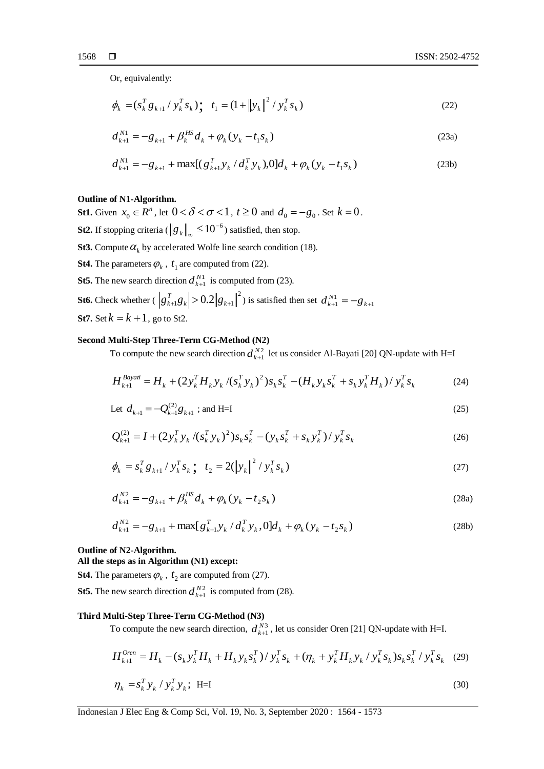Or, equivalently:

$$
\phi_k = (s_k^T g_{k+1} / y_k^T s_k) \cdot t_1 = (1 + \|y_k\|^2 / y_k^T s_k)
$$
\n(22)

$$
d_{k+1}^{N1} = -g_{k+1} + \beta_k^{HS} d_k + \varphi_k (y_k - t_1 s_k)
$$
 (23a)

$$
d_{k+1}^{N1} = -g_{k+1} + \max[(g_{k+1}^T y_k / d_k^T y_k), 0]d_k + \varphi_k(y_k - t_1 s_k)
$$
\n(23b)

### **Outline of N1-Algorithm.**

**St1.** Given  $x_0 \in R^n$ , let  $0 < \delta < \sigma < 1$ ,  $t \ge 0$  and  $d_0 = -g_0$ . Set  $k = 0$ .

- **St2.** If stopping criteria ( $\left\|g_k\right\|_\infty \leq 10^{-6}$ ) satisfied, then stop.
- **St3.** Compute  $\alpha_k$  by accelerated Wolfe line search condition (18).
- **St4.** The parameters  $\varphi_k$ ,  $t_1$  are computed from (22).
- **St5.** The new search direction  $d_{k+1}^{N1}$ 1  $d_{k+1}^{N1}$  is computed from (23).
- **St6.** Check whether  $(|g_{k+1}^T g_k| > 0.2 ||g_{k+1}||^2)$  $\left| \sum_{k=1}^T g_k \right| > 0.2 \| g_{k+1} \|$  $g_{k+1}^T g_k$  > 0.2  $g_{k+1}$  is satisfied then set  $d_{k+1}^{N1} = -g_{k+1}$  $d_{k+1}^{N1} = -g_{k+1}$ **St7.** Set  $k = k + 1$ , go to St2.

### **Second Multi-Step Three-Term CG-Method (N2)**

To compute the new search direction  $d_{k+1}^{N2}$ 1  $d_{k+1}^{N2}$  let us consider Al-Bayati [20] QN-update with H=I

$$
H_{k+1}^{Bayati} = H_k + (2y_k^T H_k y_k / (s_k^T y_k)^2) s_k s_k^T - (H_k y_k s_k^T + s_k y_k^T H_k) / y_k^T s_k
$$
 (24)

Let 
$$
d_{k+1} = -Q_{k+1}^{(2)}g_{k+1}
$$
; and H=I 
$$
(25)
$$

$$
Q_{k+1}^{(2)} = I + (2y_k^T y_k / (s_k^T y_k)^2) s_k s_k^T - (y_k s_k^T + s_k y_k^T) / y_k^T s_k
$$
 (26)

$$
\phi_k = s_k^T g_{k+1} / y_k^T s_k; \quad t_2 = 2(\left\|y_k\right\|^2 / y_k^T s_k)
$$
\n(27)

$$
d_{k+1}^{N2} = -g_{k+1} + \beta_k^{HS} d_k + \varphi_k (y_k - t_2 s_k)
$$
 (28a)

$$
d_{k+1}^{N2} = -g_{k+1} + \max[g_{k+1}^T y_k / d_k^T y_k, 0]d_k + \varphi_k(y_k - t_2 s_k)
$$
\n(28b)

#### **Outline of N2-Algorithm.**

### **All the steps as in Algorithm (N1) except:**

**St4.** The parameters  $\varphi_k$ ,  $t_2$  are computed from (27).

**St5.** The new search direction  $d_{k+1}^{N2}$ 1  $d_{k+1}^{N2}$  is computed from (28).

# **Third Multi-Step Three-Term CG-Method (N3)**

To compute the new search direction,  $d_{k+1}^{N3}$ 1  $d_{k+1}^{N3}$ , let us consider Oren [21] QN-update with H=I.

$$
H_{k+1}^{Oren} = H_k - (s_k y_k^T H_k + H_k y_k s_k^T) / y_k^T s_k + (\eta_k + y_k^T H_k y_k / y_k^T s_k) s_k s_k^T / y_k^T s_k
$$
 (29)

$$
\eta_k = s_k^T y_k / y_k^T y_k; \quad \text{H=I}
$$
\n(30)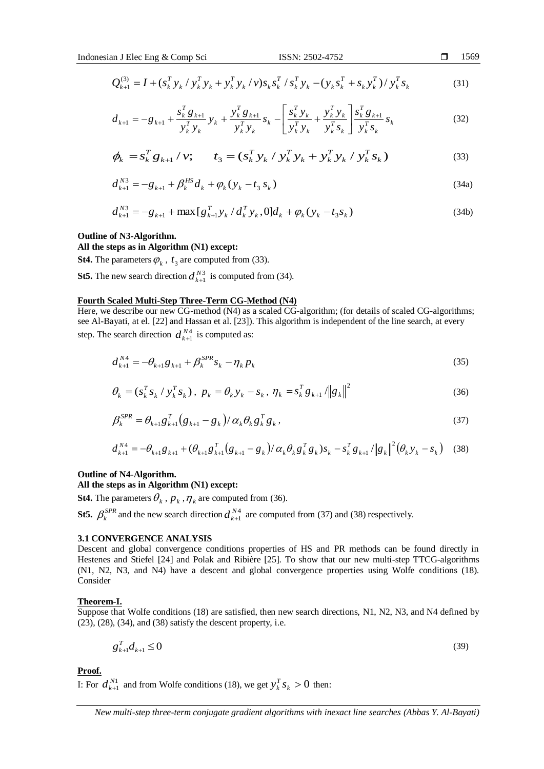$$
Q_{k+1}^{(3)} = I + (s_k^T y_k / y_k^T y_k + y_k^T y_k / v) s_k s_k^T / s_k^T y_k - (y_k s_k^T + s_k y_k^T) / y_k^T s_k
$$
\n(31)

$$
d_{k+1} = -g_{k+1} + \frac{s_k^T g_{k+1}}{y_k^T y_k} y_k + \frac{y_k^T g_{k+1}}{y_k^T y_k} s_k - \left[ \frac{s_k^T y_k}{y_k^T y_k} + \frac{y_k^T y_k}{y_k^T s_k} \right] \frac{s_k^T g_{k+1}}{y_k^T s_k} s_k \tag{32}
$$

$$
\phi_k = s_k^T g_{k+1} / \nu; \qquad t_3 = (s_k^T y_k / y_k^T y_k + y_k^T y_k / y_k^T s_k)
$$
\n(33)

$$
d_{k+1}^{N3} = -g_{k+1} + \beta_k^{HS} d_k + \varphi_k (y_k - t_3 s_k)
$$
\n(34a)

$$
d_{k+1}^{N3} = -g_{k+1} + \max [g_{k+1}^T y_k / d_k^T y_k, 0] d_k + \varphi_k (y_k - t_3 s_k)
$$
\n(34b)

### **Outline of N3-Algorithm.**

### **All the steps as in Algorithm (N1) except:**

**St4.** The parameters  $\varphi_k$ ,  $t_3$  are computed from (33).

**St5.** The new search direction  $d_{k+1}^{N3}$ 1  $d_{k+1}^{N3}$  is computed from (34).

# **Fourth Scaled Multi-Step Three-Term CG-Method (N4)**

Here, we describe our new CG-method (N4) as a scaled CG-algorithm; (for details of scaled CG-algorithms; see Al-Bayati, at el. [22] and Hassan et al. [23]). This algorithm is independent of the line search, at every step. The search direction  $d_{k+1}^{N4}$ 1  $d_{k+1}^{N4}$  is computed as:

$$
d_{k+1}^{N4} = -\theta_{k+1} g_{k+1} + \beta_k^{SPR} s_k - \eta_k p_k
$$
\n(35)

$$
\theta_k = (s_k^T s_k / y_k^T s_k), \ p_k = \theta_k y_k - s_k, \ \eta_k = s_k^T g_{k+1} / \|g_k\|^2
$$
 (36)

$$
\beta_k^{SPR} = \theta_{k+1} g_{k+1}^T (g_{k+1} - g_k) / \alpha_k \theta_k g_k^T g_k, \qquad (37)
$$

$$
d_{k+1}^{N4} = -\theta_{k+1} g_{k+1} + (\theta_{k+1} g_{k+1}^T (g_{k+1} - g_k) / \alpha_k \theta_k g_k^T g_k) s_k - s_k^T g_{k+1} / ||g_k||^2 (\theta_k y_k - s_k) \quad (38)
$$

# **Outline of N4-Algorithm.**

# **All the steps as in Algorithm (N1) except:**

**St4.** The parameters  $\theta_k$  ,  $p_k$  ,  $\eta_k$  are computed from (36).

**St5.**  $\beta_k^{SPR}$  and the new search direction  $d_{k+1}^{N4}$ 1  $d_{k+1}^{N4}$  are computed from (37) and (38) respectively.

#### **3.1 CONVERGENCE ANALYSIS**

Descent and global convergence conditions properties of HS and PR methods can be found directly in Hestenes and Stiefel [24] and Polak and Ribière [25]. To show that our new multi-step TTCG-algorithms (N1, N2, N3, and N4) have a descent and global convergence properties using Wolfe conditions (18). Consider

#### **Theorem-I.**

Suppose that Wolfe conditions (18) are satisfied, then new search directions, N1, N2, N3, and N4 defined by (23), (28), (34), and (38) satisfy the descent property, i.e.

$$
g_{k+1}^T d_{k+1} \le 0 \tag{39}
$$

**Proof.**

I: For  $d_{\iota_{+1}}^{N1}$ 1  $d_{k+1}^{N1}$  and from Wolfe conditions (18), we get  $y_k^T s_k > 0$  $y_k^T s_k > 0$  then:

*New multi-step three-term conjugate gradient algorithms with inexact line searches (Abbas Y. Al-Bayati)*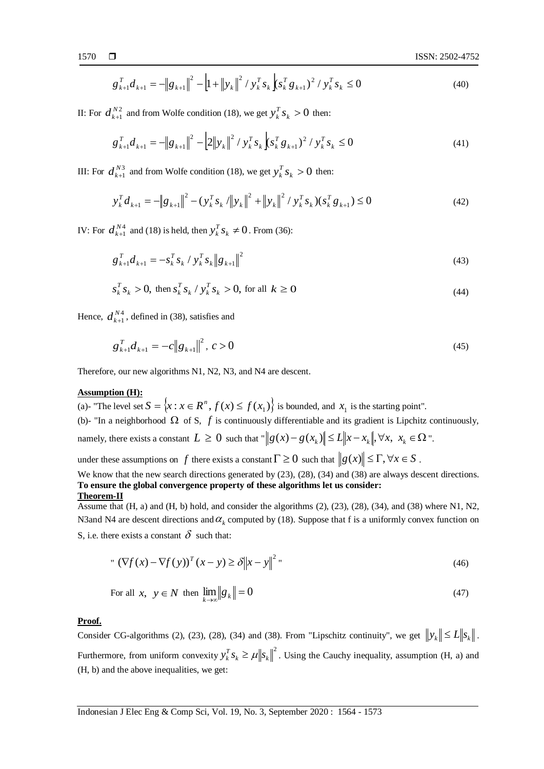$$
g_{k+1}^T d_{k+1} = -\left\| g_{k+1} \right\|^2 - \left| 1 + \left\| y_k \right\|^2 / y_k^T s_k \left( s_k^T g_{k+1} \right)^2 / y_k^T s_k \le 0 \tag{40}
$$

II: For  $d_{\iota_{+1}}^{N2}$ 1  $d_{k+1}^{N2}$  and from Wolfe condition (18), we get  $y_k^T s_k > 0$  $y_k^T s_k > 0$  then:

$$
g_{k+1}^T d_{k+1} = -\|g_{k+1}\|^2 - \left|2\|y_k\|^2 / y_k^T s_k\right| s_k^T g_{k+1}^2 / y_k^T s_k \le 0
$$
\n(41)

III: For  $d_{\iota+1}^{N3}$ 1  $d_{k+1}^{N3}$  and from Wolfe condition (18), we get  $y_k^T s_k > 0$  $y_k^T s_k > 0$  then:

$$
y_k^T d_{k+1} = -\|g_{k+1}\|^2 - (y_k^T s_k / \|y_k\|^2 + \|y_k\|^2 / y_k^T s_k)(s_k^T g_{k+1}) \le 0
$$
\n(42)

IV: For  $d_{\iota+1}^{N4}$ 1  $d_{k+1}^{N4}$  and (18) is held, then  $y_k^T s_k \neq 0$  $y_k^T s_k \neq 0$ . From (36):

$$
g_{k+1}^T d_{k+1} = -s_k^T s_k / y_k^T s_k ||g_{k+1}||^2
$$
\n(43)

$$
s_k^T s_k > 0, \text{ then } s_k^T s_k / y_k^T s_k > 0, \text{ for all } k \ge 0
$$
 (44)

Hence,  $d_{k+1}^{N4}$ 1  $d_{k+1}^{N4}$ , defined in (38), satisfies and

$$
g_{k+1}^T d_{k+1} = -c \|g_{k+1}\|^2, \ c > 0 \tag{45}
$$

Therefore, our new algorithms N1, N2, N3, and N4 are descent.

### **Assumption (H):**

(a)- "The level set  $S = \{x : x \in \mathbb{R}^n, f(x) \le f(x_1)\}$  is bounded, and  $x_1$  is the starting point". (b)- "In a neighborhood  $\Omega$  of S,  $f$  is continuously differentiable and its gradient is Lipchitz continuously, namely, there exists a constant  $L \geq 0$  such that " $\|g(x)-g(x_k)\| \leq L \|x-x_k\|, \forall x, x_k \in \Omega$ ".

under these assumptions on f there exists a constant  $\Gamma \ge 0$  such that  $||g(x)|| \le \Gamma, \forall x \in S$ .

We know that the new search directions generated by (23), (28), (34) and (38) are always descent directions. **To ensure the global convergence property of these algorithms let us consider: Theorem-II** 

Assume that (H, a) and (H, b) hold, and consider the algorithms (2), (23), (28), (34), and (38) where N1, N2, N3and N4 are descent directions and  $\alpha_k$  computed by (18). Suppose that f is a uniformly convex function on S, i.e. there exists a constant  $\delta$  such that:

" 
$$
(\nabla f(x) - \nabla f(y))^T (x - y) \ge \delta \|x - y\|^2
$$
 (46)

For all 
$$
x, y \in N
$$
 then  $\lim_{k \to \infty} ||g_k|| = 0$  (47)

# **Proof.**

Consider CG-algorithms (2), (23), (28), (34) and (38). From "Lipschitz continuity", we get  $||y_k|| \le L||s_k||$ . Furthermore, from uniform convexity  $y_k^T s_k \geq \mu \|s_k\|^2$  $\mu_k \leq \mu_{\parallel} s_k$ *T*  $y_k^T s_k \ge \mu \|s_k\|^2$ . Using the Cauchy inequality, assumption (H, a) and (H, b) and the above inequalities, we get: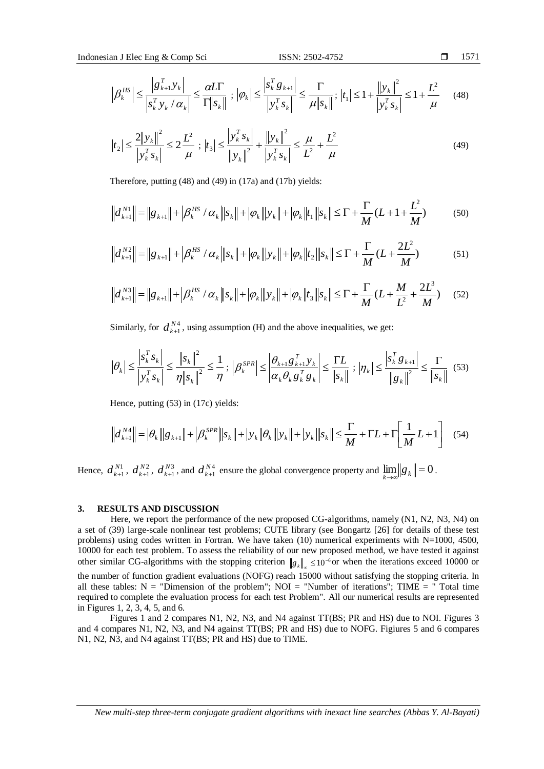$$
\left|\beta_k^{HS}\right| \le \frac{\left|g_{k+1}^T y_k\right|}{\left|g_k^T y_k / \alpha_k\right|} \le \frac{\alpha L \Gamma}{\Gamma \left\|g_k\right\|} ; \left|\varphi_k\right| \le \frac{\left|g_k^T g_{k+1}\right|}{\left|g_k^T s_k\right|} \le \frac{\Gamma}{\mu \left\|g_k\right\|} ; \left|t_1\right| \le 1 + \frac{\left\|g_k\right\|^2}{\left|g_k^T s_k\right|} \le 1 + \frac{L^2}{\mu} \tag{48}
$$

$$
\left| t_{2} \right| \leq \frac{2 \left\| y_{k} \right\|^{2}}{\left| y_{k}^{T} s_{k} \right|} \leq 2 \frac{L^{2}}{\mu} ; \left| t_{3} \right| \leq \frac{\left| y_{k}^{T} s_{k} \right|}{\left\| y_{k} \right\|^{2}} + \frac{\left\| y_{k} \right\|^{2}}{\left| y_{k}^{T} s_{k} \right|} \leq \frac{\mu}{L^{2}} + \frac{L^{2}}{\mu}
$$
\n(49)

Therefore, putting (48) and (49) in (17a) and (17b) yields:

$$
\left\| d_{k+1}^{N1} \right\| = \left\| g_{k+1} \right\| + \left| \beta_k^{HS} / \alpha_k \right\| \left| s_k \right\| + \left| \varphi_k \right\| \left| y_k \right\| + \left| \varphi_k \right\| t_1 \left\| s_k \right\| \leq \Gamma + \frac{\Gamma}{M} (L + 1 + \frac{L^2}{M}) \tag{50}
$$

$$
\left\|d_{k+1}^{N2}\right\| = \left\|g_{k+1}\right\| + \left|\beta_k^{HS}/\alpha_k\right\| \left|s_k\right\| + \left|\varphi_k\right\| \left|y_k\right\| + \left|\varphi_k\right\| t_2 \left\|s_k\right\| \leq \Gamma + \frac{\Gamma}{M}(L + \frac{2L^2}{M})
$$
\n(51)

$$
\left\|d_{k+1}^{N3}\right\| = \left\|g_{k+1}\right\| + \left|\beta_k^{HS}/\alpha_k\right\| \left|s_k\right\| + \left|\varphi_k\right\| \left|y_k\right\| + \left|\varphi_k\right\| \left|t_3\right\| \left|s_k\right| \leq \Gamma + \frac{\Gamma}{M}(L + \frac{M}{L^2} + \frac{2L^3}{M}) \tag{52}
$$

Similarly, for  $d_{k+1}^{N4}$ 1  $d_{k+1}^{N4}$ , using assumption (H) and the above inequalities, we get:

$$
\left|\theta_{k}\right| \leq \frac{\left|s_{k}^{T} s_{k}\right|}{\left|s_{k}^{T} s_{k}\right|} \leq \frac{\left\|s_{k}\right\|^{2}}{\eta \left\|s_{k}\right\|^{2}} \leq \frac{1}{\eta};\ \left|\beta_{k}^{SPR}\right| \leq \left|\frac{\theta_{k+1} g_{k+1}^{T} y_{k}}{\alpha_{k} \theta_{k} g_{k}^{T} g_{k}}\right| \leq \frac{\Gamma L}{\left\|s_{k}\right\|};\ \left|\eta_{k}\right| \leq \frac{\left|s_{k}^{T} g_{k+1}\right|}{\left\|s_{k}\right\|} \leq \frac{\Gamma}{\left\|s_{k}\right\|}(53)
$$

Hence, putting (53) in (17c) yields:

$$
\left\| d_{k+1}^{N4} \right\| = \left| \theta_k \right\| \left| g_{k+1} \right\| + \left| \beta_k^{SPR} \right\| \left| s_k \right\| + \left| y_k \right\| \left| \theta_k \right\| \left| y_k \right\| + \left| y_k \right\| \left| s_k \right| \le \frac{\Gamma}{M} + \Gamma L + \Gamma \left[ \frac{1}{M} L + 1 \right] \tag{54}
$$

Hence,  $d_{k+1}^{N1}$ 1  $d_{k+1}^{N1}$ ,  $d_{k+1}^{N2}$ 1  $d_{k+1}^{N2}$ ,  $d_{k+1}^{N3}$ 1  $d_{k+1}^{N3}$ , and  $d_{k+1}^{N4}$ 1  $d_{k+1}^{N4}$  ensure the global convergence property and  $\lim_{k\to\infty}||g_k||=0$ .

#### **3. RESULTS AND DISCUSSION**

Here, we report the performance of the new proposed CG-algorithms, namely (N1, N2, N3, N4) on a set of (39) large-scale nonlinear test problems; CUTE library (see Bongartz [26] for details of these test problems) using codes written in Fortran. We have taken (10) numerical experiments with  $N=1000$ , 4500, 10000 for each test problem. To assess the reliability of our new proposed method, we have tested it against other similar CG-algorithms with the stopping criterion  $g_k | z \leq 10^{-6}$  or when the iterations exceed 10000 or the number of function gradient evaluations (NOFG) reach 15000 without satisfying the stopping criteria. In all these tables:  $N =$  "Dimension of the problem";  $NOI =$  "Number of iterations"; TIME = " Total time required to complete the evaluation process for each test Problem". All our numerical results are represented in Figures 1, 2, 3, 4, 5, and 6.

Figures 1 and 2 compares N1, N2, N3, and N4 against TT(BS; PR and HS) due to NOI. Figures 3 and 4 compares N1, N2, N3, and N4 against TT(BS; PR and HS) due to NOFG. Figiures 5 and 6 compares N1, N2, N3, and N4 against TT(BS; PR and HS) due to TIME.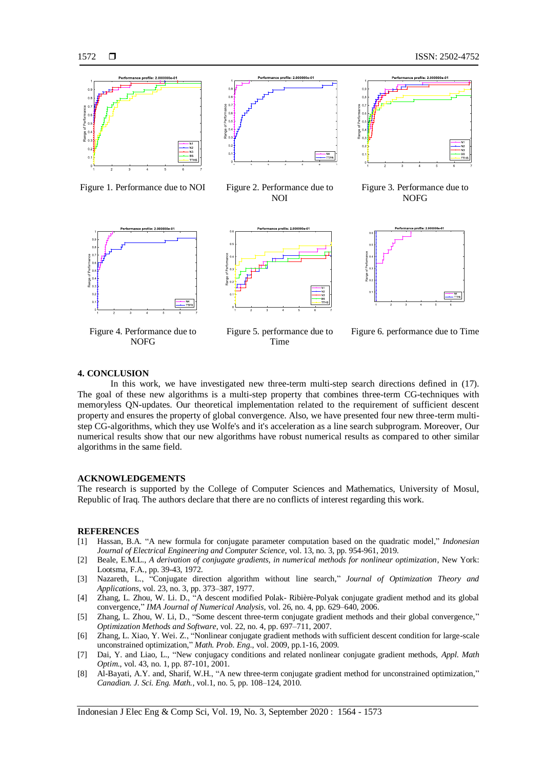

Figure 1. Performance due to NOI Figure 2. Performance due to



NOI



Figure 4. Performance due to NOFG



Figure 5. performance due to Time



Figure 3. Performance due to NOFG



Figure 6. performance due to Time

### **4. CONCLUSION**

In this work, we have investigated new three-term multi-step search directions defined in (17). The goal of these new algorithms is a multi-step property that combines three-term CG-techniques with memoryless QN-updates. Our theoretical implementation related to the requirement of sufficient descent property and ensures the property of global convergence. Also, we have presented four new three-term multistep CG-algorithms, which they use Wolfe's and it's acceleration as a line search subprogram. Moreover, Our numerical results show that our new algorithms have robust numerical results as compared to other similar algorithms in the same field.

#### **ACKNOWLEDGEMENTS**

The research is supported by the College of Computer Sciences and Mathematics, University of Mosul, Republic of Iraq. The authors declare that there are no conflicts of interest regarding this work.

#### **REFERENCES**

- [1] Hassan, B.A. "A new formula for conjugate parameter computation based on the quadratic model," *Indonesian Journal of Electrical Engineering and Computer Science*, vol. 13, no. 3, pp. 954-961, 2019.
- [2] Beale, E.M.L., *A derivation of conjugate gradients, in numerical methods for nonlinear optimization*, New York: Lootsma, F.A., pp. 39-43, 1972.
- [3] Nazareth, L., "Conjugate direction algorithm without line search," *Journal of Optimization Theory and Applications*, vol. 23, no. 3, pp. 373–387, 1977.
- [4] Zhang, L. Zhou, W. Li. D., "A descent modified Polak- Ribière-Polyak conjugate gradient method and its global convergence," *IMA Journal of Numerical Analysis*, vol. 26, no. 4, pp. 629–640, 2006.
- [5] Zhang, L. Zhou, W. Li, D., "Some descent three-term conjugate gradient methods and their global convergence," *Optimization Methods and Software*, vol. 22, no. 4, pp. 697–711, 2007.
- [6] Zhang, L. Xiao, Y. Wei. Z., "Nonlinear conjugate gradient methods with sufficient descent condition for large-scale unconstrained optimization," *Math. Prob. Eng*., vol. 2009, pp.1-16, 2009.
- [7] Dai, Y. and Liao, L., "New conjugacy conditions and related nonlinear conjugate gradient methods, *Appl. Math Optim*., vol. 43, no. 1, pp. 87-101, 2001.
- [8] Al-Bayati, A.Y. and, Sharif, W.H., "A new three-term conjugate gradient method for unconstrained optimization," *Canadian. J. Sci. Eng. Math.*, vol.1, no. 5, pp. 108–124, 2010.